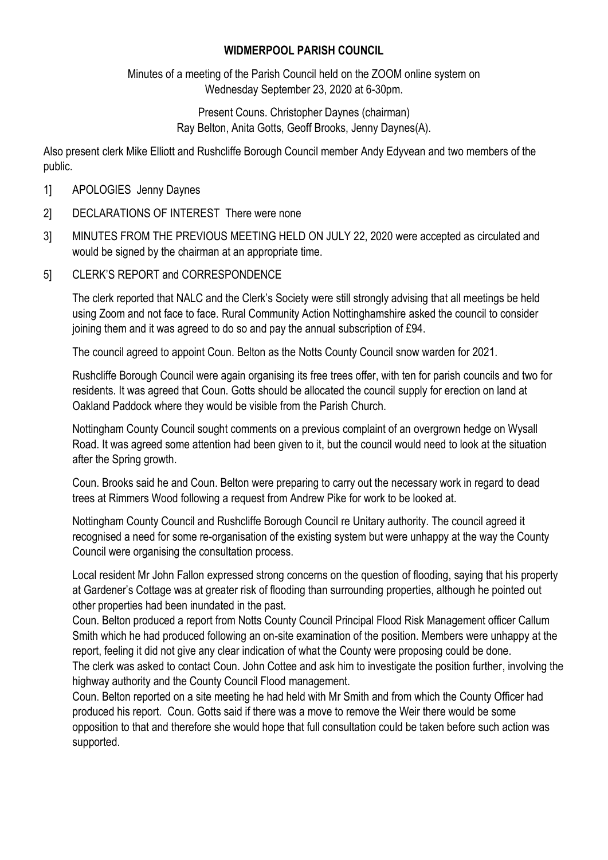## **WIDMERPOOL PARISH COUNCIL**

Minutes of a meeting of the Parish Council held on the ZOOM online system on Wednesday September 23, 2020 at 6-30pm.

> Present Couns. Christopher Daynes (chairman) Ray Belton, Anita Gotts, Geoff Brooks, Jenny Daynes(A).

Also present clerk Mike Elliott and Rushcliffe Borough Council member Andy Edyvean and two members of the public.

- 1] APOLOGIES Jenny Daynes
- 2] DECLARATIONS OF INTEREST There were none
- 3] MINUTES FROM THE PREVIOUS MEETING HELD ON JULY 22, 2020 were accepted as circulated and would be signed by the chairman at an appropriate time.
- 5] CLERK'S REPORT and CORRESPONDENCE

The clerk reported that NALC and the Clerk's Society were still strongly advising that all meetings be held using Zoom and not face to face. Rural Community Action Nottinghamshire asked the council to consider joining them and it was agreed to do so and pay the annual subscription of £94.

The council agreed to appoint Coun. Belton as the Notts County Council snow warden for 2021.

Rushcliffe Borough Council were again organising its free trees offer, with ten for parish councils and two for residents. It was agreed that Coun. Gotts should be allocated the council supply for erection on land at Oakland Paddock where they would be visible from the Parish Church.

Nottingham County Council sought comments on a previous complaint of an overgrown hedge on Wysall Road. It was agreed some attention had been given to it, but the council would need to look at the situation after the Spring growth.

Coun. Brooks said he and Coun. Belton were preparing to carry out the necessary work in regard to dead trees at Rimmers Wood following a request from Andrew Pike for work to be looked at.

Nottingham County Council and Rushcliffe Borough Council re Unitary authority. The council agreed it recognised a need for some re-organisation of the existing system but were unhappy at the way the County Council were organising the consultation process.

Local resident Mr John Fallon expressed strong concerns on the question of flooding, saying that his property at Gardener's Cottage was at greater risk of flooding than surrounding properties, although he pointed out other properties had been inundated in the past.

Coun. Belton produced a report from Notts County Council Principal Flood Risk Management officer Callum Smith which he had produced following an on-site examination of the position. Members were unhappy at the report, feeling it did not give any clear indication of what the County were proposing could be done. The clerk was asked to contact Coun. John Cottee and ask him to investigate the position further, involving the highway authority and the County Council Flood management.

Coun. Belton reported on a site meeting he had held with Mr Smith and from which the County Officer had produced his report. Coun. Gotts said if there was a move to remove the Weir there would be some opposition to that and therefore she would hope that full consultation could be taken before such action was supported.